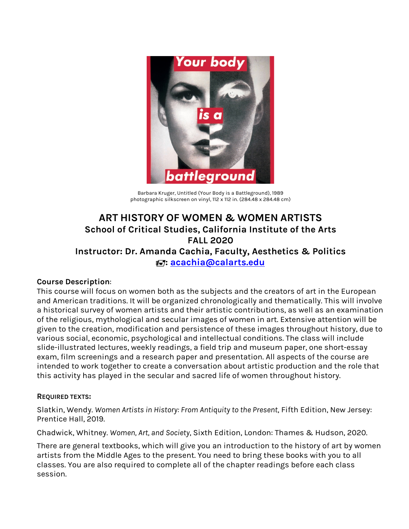

Barbara Kruger, Untitled (Your Body is a Battleground), 1989 photographic silkscreen on vinyl, 112 x 112 in. (284.48 x 284.48 cm)

# **ART HISTORY OF WOMEN & WOMEN ARTISTS School of Critical Studies, California Institute of the Arts FALL 2020 Instructor: Dr. Amanda Cachia, Faculty, Aesthetics & Politics : acachia@calarts.edu**

#### **Course Description**:

This course will focus on women both as the subjects and the creators of art in the European and American traditions. It will be organized chronologically and thematically. This will involve a historical survey of women artists and their artistic contributions, as well as an examination of the religious, mythological and secular images of women in art. Extensive attention will be given to the creation, modification and persistence of these images throughout history, due to various social, economic, psychological and intellectual conditions. The class will include slide-illustrated lectures, weekly readings, a field trip and museum paper, one short-essay exam, film screenings and a research paper and presentation. All aspects of the course are intended to work together to create a conversation about artistic production and the role that this activity has played in the secular and sacred life of women throughout history.

#### **REQUIRED TEXTS:**

Slatkin, Wendy. *Women Artists in History: From Antiquity to the Present*, Fifth Edition, New Jersey: Prentice Hall, 2019.

Chadwick, Whitney. *Women, Art, and Society*, Sixth Edition, London: Thames & Hudson, 2020.

There are general textbooks, which will give you an introduction to the history of art by women artists from the Middle Ages to the present. You need to bring these books with you to all classes. You are also required to complete all of the chapter readings before each class session.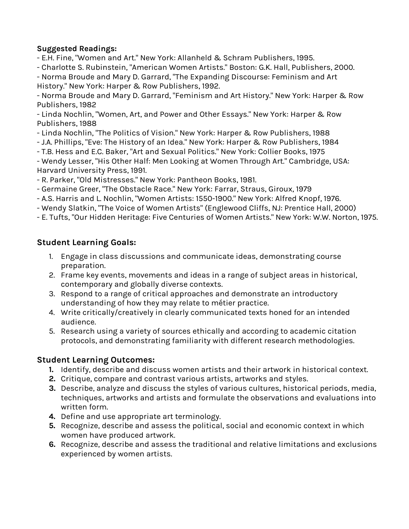### **Suggested Readings:**

- E.H. Fine, "Women and Art." New York: Allanheld & Schram Publishers, 1995.

- Charlotte S. Rubinstein, "American Women Artists." Boston: G.K. Hall, Publishers, 2000.

- Norma Broude and Mary D. Garrard, "The Expanding Discourse: Feminism and Art History." New York: Harper & Row Publishers, 1992.

- Norma Broude and Mary D. Garrard, "Feminism and Art History." New York: Harper & Row Publishers, 1982

- Linda Nochlin, "Women, Art, and Power and Other Essays." New York: Harper & Row Publishers, 1988

- Linda Nochlin, "The Politics of Vision." New York: Harper & Row Publishers, 1988

- J.A. Phillips, "Eve: The History of an Idea." New York: Harper & Row Publishers, 1984

- T.B. Hess and E.C. Baker, "Art and Sexual Politics." New York: Collier Books, 1975

- Wendy Lesser, "His Other Half: Men Looking at Women Through Art." Cambridge, USA: Harvard University Press, 1991.

- R. Parker, "Old Mistresses." New York: Pantheon Books, 1981.

- Germaine Greer, "The Obstacle Race." New York: Farrar, Straus, Giroux, 1979

- A.S. Harris and L. Nochlin, "Women Artists: 1550-1900." New York: Alfred Knopf, 1976.

- Wendy Slatkin, "The Voice of Women Artists" (Englewood Cliffs, NJ: Prentice Hall, 2000)

- E. Tufts, "Our Hidden Heritage: Five Centuries of Women Artists." New York: W.W. Norton, 1975.

# **Student Learning Goals:**

- 1. Engage in class discussions and communicate ideas, demonstrating course preparation.
- 2. Frame key events, movements and ideas in a range of subject areas in historical, contemporary and globally diverse contexts.
- 3. Respond to a range of critical approaches and demonstrate an introductory understanding of how they may relate to métier practice.
- 4. Write critically/creatively in clearly communicated texts honed for an intended audience.
- 5. Research using a variety of sources ethically and according to academic citation protocols, and demonstrating familiarity with different research methodologies.

# **Student Learning Outcomes:**

- **1.** Identify, describe and discuss women artists and their artwork in historical context.
- **2.** Critique, compare and contrast various artists, artworks and styles.
- **3.** Describe, analyze and discuss the styles of various cultures, historical periods, media, techniques, artworks and artists and formulate the observations and evaluations into written form.
- **4.** Define and use appropriate art terminology.
- **5.** Recognize, describe and assess the political, social and economic context in which women have produced artwork.
- **6.** Recognize, describe and assess the traditional and relative limitations and exclusions experienced by women artists.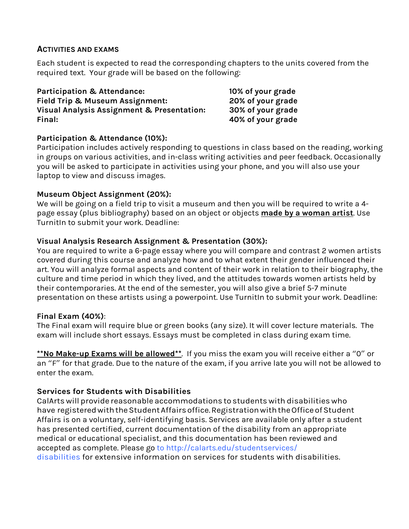#### **ACTIVITIES AND EXAMS**

Each student is expected to read the corresponding chapters to the units covered from the required text. Your grade will be based on the following:

**Participation & Attendance: 10% of your grade Field Trip & Museum Assignment: 20% of your grade Visual Analysis Assignment & Presentation: 30% of your grade Final: 40% of your grade**

### **Participation & Attendance (10%):**

Participation includes actively responding to questions in class based on the reading, working in groups on various activities, and in-class writing activities and peer feedback. Occasionally you will be asked to participate in activities using your phone, and you will also use your laptop to view and discuss images.

### **Museum Object Assignment (20%):**

We will be going on a field trip to visit a museum and then you will be required to write a 4 page essay (plus bibliography) based on an object or objects **made by a woman artist**. Use TurnitIn to submit your work. Deadline:

### **Visual Analysis Research Assignment & Presentation (30%):**

You are required to write a 6-page essay where you will compare and contrast 2 women artists covered during this course and analyze how and to what extent their gender influenced their art. You will analyze formal aspects and content of their work in relation to their biography, the culture and time period in which they lived, and the attitudes towards women artists held by their contemporaries. At the end of the semester, you will also give a brief 5-7 minute presentation on these artists using a powerpoint. Use TurnitIn to submit your work. Deadline:

#### **Final Exam (40%)**:

The Final exam will require blue or green books (any size). It will cover lecture materials. The exam will include short essays. Essays must be completed in class during exam time.

**\*\*No Make-up Exams will be allowed\*\***. If you miss the exam you will receive either a "0" or an "F" for that grade. Due to the nature of the exam, if you arrive late you will not be allowed to enter the exam.

### **Services for Students with Disabilities**

CalArts will provide reasonable accommodations to students with disabilities who have registered with the Student Affairs office. Registration with the Office of Student Affairs is on a voluntary, self-identifying basis. Services are available only after a student has presented certified, current documentation of the disability from an appropriate medical or educational specialist, and this documentation has been reviewed and accepted as complete. Please go to http://calarts.edu/studentservices/ disabilities for extensive information on services for students with disabilities.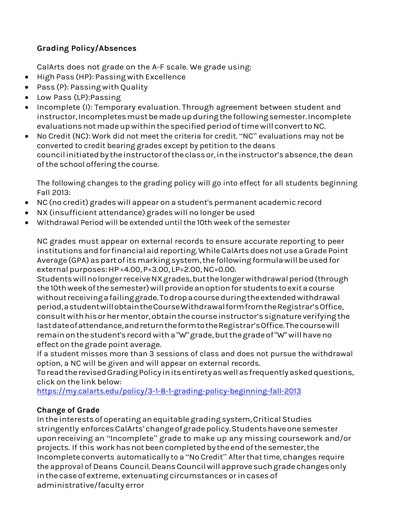# **Grading Policy/Absences**

CalArts does not grade on the A-F scale. We grade using:

- High Pass (HP): Passing with Excellence
- Pass (P): Passing with Quality
- Low Pass (LP):Passing
- Incomplete (I): Temporary evaluation. Through agreement between student and instructor, Incompletes must be made up during the following semester. Incomplete evaluations not made up within the specified period of time will convert to NC.
- No Credit (NC): Work did not meet the criteria for credit. "NC" evaluations may not be converted to credit bearing grades except by petition to the deans councilinitiatedbytheinstructoroftheclassor,intheinstructor'sabsence,the dean ofthe school offering the course.

The following changes to the grading policy will go into effect for all students beginning Fall 2013:

- NC (no credit) grades will appear on a student's permanent academic record
- NX (insufficient attendance) grades will no longer be used
- Withdrawal Period will be extended untilthe 10th week ofthe semester

NC grades must appear on external records to ensure accurate reporting to peer institutions and for financial aid reporting. While CalArts does not use a Grade Point Average (GPA) as part of its marking system, the following formula will be used for externalpurposes:HP =4.00,P=3.00, LP=2.00,NC=0.00.

StudentswillnolongerreceiveNXgrades,butthelongerwithdrawalperiod(through the 10th week of the semester) will provide an option for students to exit a course withoutreceivingafailinggrade.Todropacourseduringtheextendedwithdrawal period,astudentwillobtaintheCourseWithdrawalformfromtheRegistrar'sOffice, consultwithhis orhermentor,obtainthe course instructor's signature verifyingthe lastdateofattendance,andreturntheformtotheRegistrar'sOffice.Thecoursewill remain on the student's record with a "W" grade, but the grade of "W" will have no effect on the grade point average.

If a student misses more than 3 sessions of class and does not pursue the withdrawal option, a NC will be given and will appear on external records.

ToreadtherevisedGradingPolicyinitsentiretyaswellasfrequentlyaskedquestions, click on the link below:

https://my.calarts.edu/policy/3-1-8-1-grading-policy-beginning-fall-2013

# **Change of Grade**

In the interests of operating an equitable grading system, Critical Studies stringently enforcesCalArts'changeofgradepolicy.Studentshaveonesemester uponreceiving an "Incomplete" grade to make up any missing coursework and/or projects. If this work has not been completed by the end of the semester, the Incomplete converts automatically to a "No Credit". After that time, changes require the approval of Deans Council.DeansCouncilwillapprove suchgrade changesonly inthe caseof extreme, extenuating circumstances orin cases of administrative/faculty error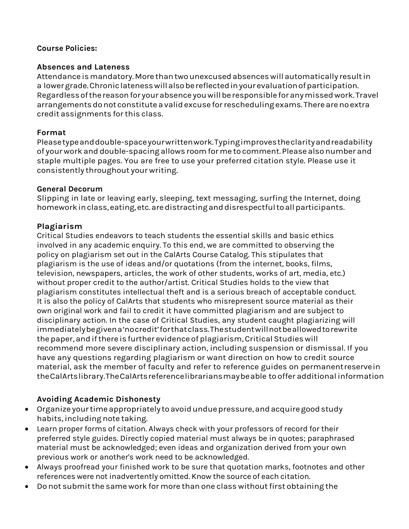#### **Course Policies:**

#### **Absences and Lateness**

Attendance is mandatory. More than two unexcused absences will automatically result in a lowergrade.Chroniclatenesswillalsobereflectedinyourevaluationofparticipation. Regardlessofthereasonfor yourabsenceyouwillberesponsible foranymissedwork.Travel arrangements do not constitute a valid excuse for rescheduling exams. There are no extra credit assignments forthis class.

### **Format**

Pleasetypeanddouble-spaceyourwrittenwork.Typingimprovestheclarityandreadability of your work and double-spacing allows roomforme to comment. Please alsonumber and staple multiple pages. You are free to use your preferred citation style. Please use it consistently throughout your writing.

### **General Decorum**

Slipping in late or leaving early, sleeping, text messaging, surfing the Internet, doing homeworkinclass,eating,etc.aredistractinganddisrespectfultoallparticipants.

### **Plagiarism**

Critical Studies endeavors to teach students the essential skills and basic ethics involved in any academic enquiry. To this end, we are committed to observing the policy on plagiarism set out in the CalArts Course Catalog. This stipulates that plagiarism is the use of ideas and/or quotations (from the internet, books, films, television, newspapers, articles, the work of other students, works of art, media, etc.) without proper credit to the author/artist. Critical Studies holds to the view that plagiarism constitutes intellectual theft and is a serious breach of acceptable conduct. It is also the policy of CalArts that students who misrepresent source material as their own original work and fail to credit it have committed plagiarism and are subject to disciplinary action. In the case of Critical Studies, any student caught plagiarizing will immediatelybegivena'nocredit'forthatclass.Thestudentwillnotbeallowedtorewrite the paper, and if there is further evidence of plagiarism, Critical Studies will recommend more severe disciplinary action, including suspension or dismissal. If you have any questions regarding plagiarism or want direction on how to credit source material, ask the member of faculty and refer to reference guides on permanentreservein theCalArtslibrary.TheCalArtsreferencelibrariansmaybeable to offer additional information

# **Avoiding Academic Dishonesty**

- Organizeyourtimeappropriately toavoidunduepressure,andacquiregoodstudy habits, including note taking.
- Learn proper forms of citation. Always check with your professors of record for their preferred style guides. Directly copied material must always be in quotes; paraphrased material must be acknowledged; even ideas and organization derived from your own previous work or another's work need to be acknowledged.
- Always proofread your finished work to be sure that quotation marks, footnotes and other references were not inadvertently omitted. Know the source of each citation.
- Do not submit the same work for more than one class without first obtaining the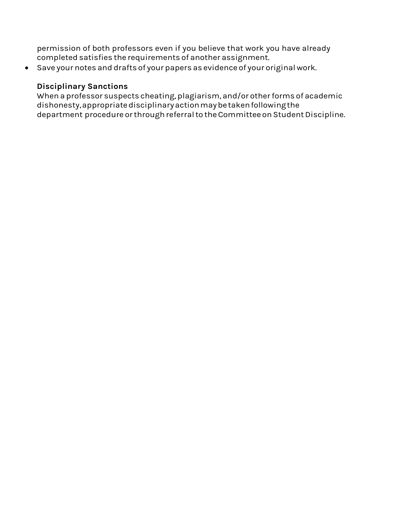permission of both professors even if you believe that work you have already completed satisfies the requirements of another assignment.

• Save your notes and drafts of your papers as evidence of your original work.

### **Disciplinary Sanctions**

When a professor suspects cheating, plagiarism, and/or other forms of academic dishonesty,appropriatedisciplinaryactionmaybetakenfollowingthe department procedure or through referral to the Committee on Student Discipline.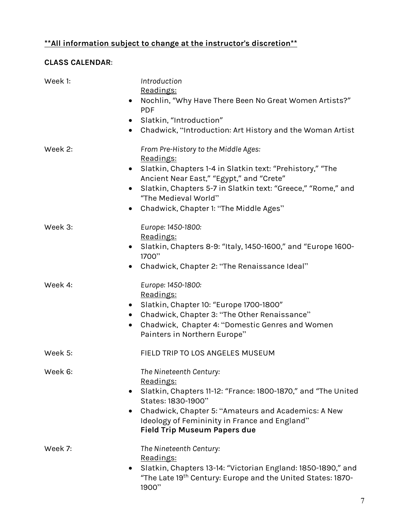# **\*\*All information subject to change at the instructor's discretion\*\***

# **CLASS CALENDAR**:

| Week 1: | Introduction<br>Readings:<br>Nochlin, "Why Have There Been No Great Women Artists?"<br>$\bullet$<br><b>PDF</b><br>Slatkin, "Introduction"<br>$\bullet$<br>Chadwick, "Introduction: Art History and the Woman Artist<br>$\bullet$                                                                                                    |
|---------|-------------------------------------------------------------------------------------------------------------------------------------------------------------------------------------------------------------------------------------------------------------------------------------------------------------------------------------|
| Week 2: | From Pre-History to the Middle Ages:<br>Readings:<br>Slatkin, Chapters 1-4 in Slatkin text: "Prehistory," "The<br>$\bullet$<br>Ancient Near East," "Egypt," and "Crete"<br>Slatkin, Chapters 5-7 in Slatkin text: "Greece," "Rome," and<br>$\bullet$<br>"The Medieval World"<br>Chadwick, Chapter 1: "The Middle Ages"<br>$\bullet$ |
| Week 3: | Europe: 1450-1800:<br>Readings:<br>Slatkin, Chapters 8-9: "Italy, 1450-1600," and "Europe 1600-<br>1700"<br>Chadwick, Chapter 2: "The Renaissance Ideal"<br>$\bullet$                                                                                                                                                               |
| Week 4: | Europe: 1450-1800:<br>Readings:<br>Slatkin, Chapter 10: "Europe 1700-1800"<br>$\bullet$<br>Chadwick, Chapter 3: "The Other Renaissance"<br>$\bullet$<br>Chadwick, Chapter 4: "Domestic Genres and Women<br>$\bullet$<br>Painters in Northern Europe"                                                                                |
| Week 5: | FIELD TRIP TO LOS ANGELES MUSEUM                                                                                                                                                                                                                                                                                                    |
| Week 6: | The Nineteenth Century:<br>Readings:<br>Slatkin, Chapters 11-12: "France: 1800-1870," and "The United<br>$\bullet$<br>States: 1830-1900"<br>Chadwick, Chapter 5: "Amateurs and Academics: A New<br>Ideology of Femininity in France and England"<br><b>Field Trip Museum Papers due</b>                                             |
| Week 7: | The Nineteenth Century:<br>Readings:<br>Slatkin, Chapters 13-14: "Victorian England: 1850-1890," and<br>"The Late 19th Century: Europe and the United States: 1870-<br>1900"                                                                                                                                                        |